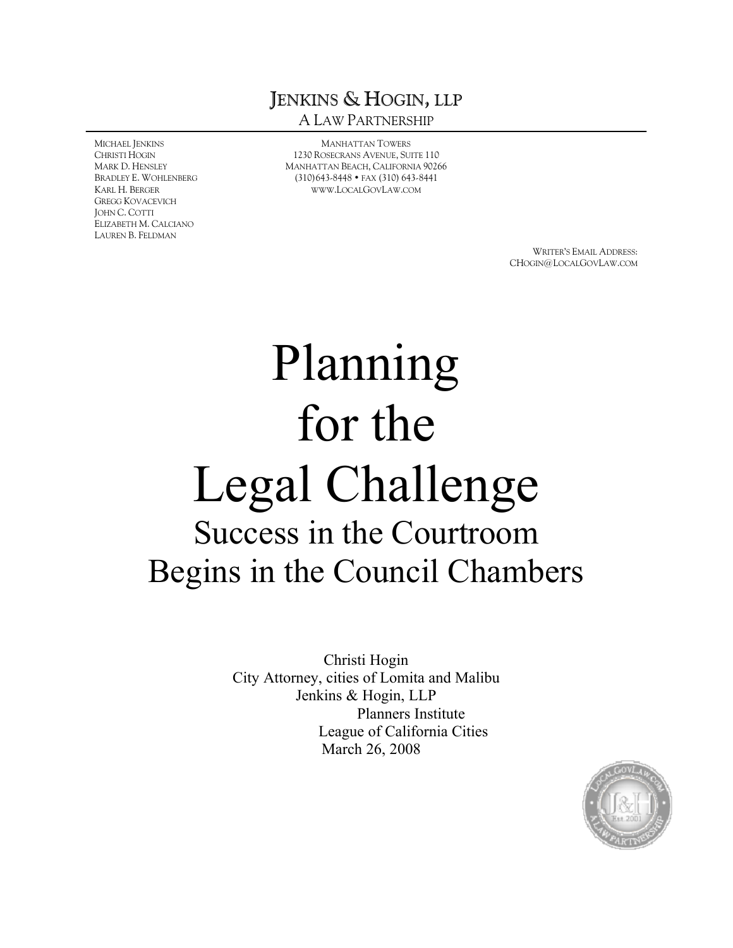# JENKINS & HOGIN, LLP A LAW PARTNERSHIP

MICHAEL JENKINS CHRISTI HOGIN MARK D. HENSLEY BRADLEY E. WOHLENBERG KARL H. BERGER GREGG KOVACEVICH JOHN C. COTTI ELIZABETH M. CALCIANO LAUREN B. FELDMAN

MANHATTAN TOWERS 1230 ROSECRANS AVENUE, SUITE 110 MANHATTAN BEACH, CALIFORNIA 90266 (310)643-8448 • FAX (310) 643-8441 [WWW](WWW.LOCALGOVLAW.COM).LOCALGOVLAW.COM

> WRITER'S EMAIL ADDRESS: CHOGIN@LOCALGOVLAW.COM

# Planning for the Legal Challenge Success in the Courtroom Begins in the Council Chambers

Christi Hogin City Attorney, cities of Lomita and Malibu Jenkins & Hogin, LLP Planners Institute League of California Cities March 26, 2008

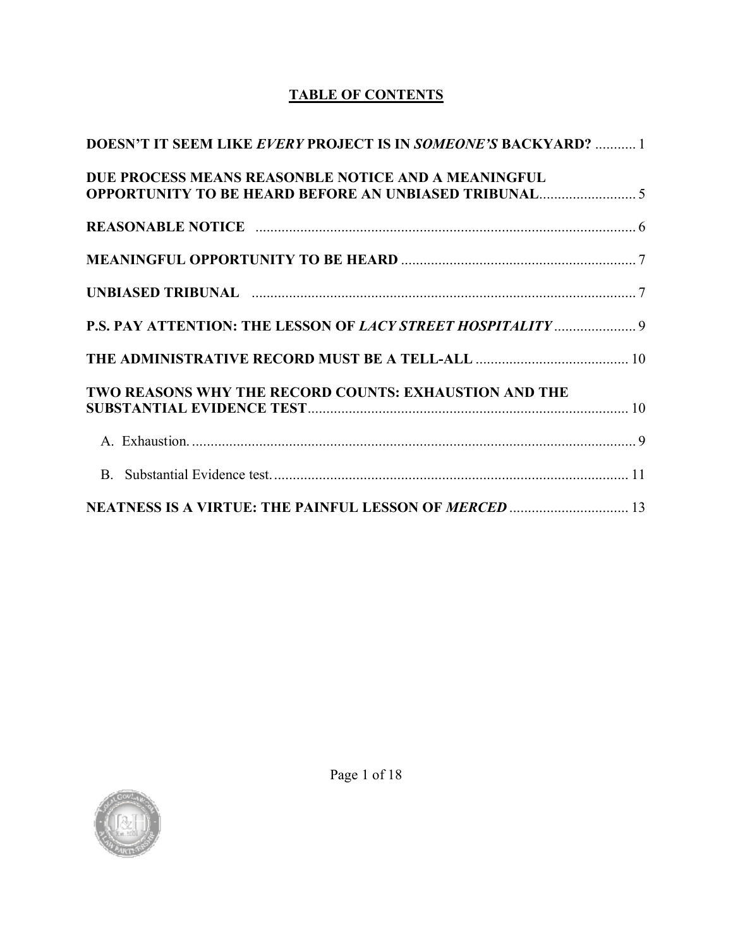## **TABLE OF CONTENTS**

| <b>DOESN'T IT SEEM LIKE EVERY PROJECT IS IN SOMEONE'S BACKYARD?</b> 1 |  |
|-----------------------------------------------------------------------|--|
| DUE PROCESS MEANS REASONBLE NOTICE AND A MEANINGFUL                   |  |
|                                                                       |  |
|                                                                       |  |
|                                                                       |  |
| P.S. PAY ATTENTION: THE LESSON OF LACY STREET HOSPITALITY  9          |  |
|                                                                       |  |
| TWO REASONS WHY THE RECORD COUNTS: EXHAUSTION AND THE                 |  |
|                                                                       |  |
|                                                                       |  |
| <b>NEATNESS IS A VIRTUE: THE PAINFUL LESSON OF MERCED  13</b>         |  |

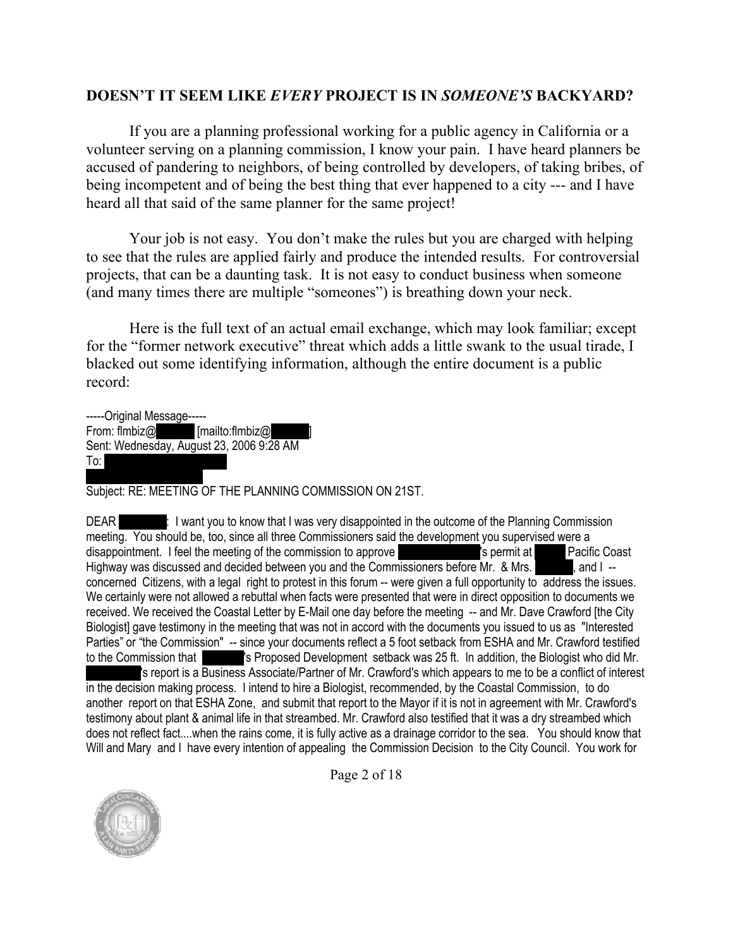#### <span id="page-2-0"></span>**DOESN'T IT SEEM LIKE** *EVERY* **PROJECT IS IN** *SOMEONE'S* **BACKYARD?**

If you are a planning professional working for a public agency in California or a volunteer serving on a planning commission, I know your pain. I have heard planners be accused of pandering to neighbors, of being controlled by developers, of taking bribes, of being incompetent and of being the best thing that ever happened to a city --- and I have heard all that said of the same planner for the same project!

Your job is not easy. You don't make the rules but you are charged with helping to see that the rules are applied fairly and produce the intended results. For controversial projects, that can be a daunting task. It is not easy to conduct business when someone (and many times there are multiple "someones") is breathing down your neck.

Here is the full text of an actual email exchange, which may look familiar; except for the "former network executive" threat which adds a little swank to the usual tirade, I blacked out some identifying information, although the entire document is a public record:

-----Original Message----- From: flmbiz $\omega$  [mailto:flmbiz $\omega$ Sent: Wednesday, August 23, 2006 9:28 AM  $To:$ 

Subject: RE: MEETING OF THE PLANNING COMMISSION ON 21ST.

DEAR **Repeative:** I want you to know that I was very disappointed in the outcome of the Planning Commission meeting. You should be, too, since all three Commissioners said the development you supervised were a disappointment. I feel the meeting of the commission to approve **Kampar Lash and School Pacific Coast** Highway was discussed and decided between you and the Commissioners before Mr. & Mrs. **Or Learn**, and I -concerned Citizens, with a legal right to protest in this forum -- were given a full opportunity to address the issues. We certainly were not allowed a rebuttal when facts were presented that were in direct opposition to documents we received. We received the Coastal Letter by E-Mail one day before the meeting -- and Mr. Dave Crawford [the City Biologist] gave testimony in the meeting that was not in accord with the documents you issued to us as "Interested Parties" or "the Commission" -- since your documents reflect a 5 foot setback from ESHA and Mr. Crawford testified to the Commission that **Lash are last veroposed Development setback was 25 ft.** In addition, the Biologist who did Mr. 's report is a Business Associate/Partner of Mr. Crawford's which appears to me to be a conflict of interest in the decision making process. I intend to hire a Biologist, recommended, by the Coastal Commission, to do another report on that ESHA Zone, and submit that report to the Mayor if it is not in agreement with Mr. Crawford's testimony about plant & animal life in that streambed. Mr. Crawford also testified that it was a dry streambed which does not reflect fact....when the rains come, it is fully active as a drainage corridor to the sea. You should know that Will and Mary and I have every intention of appealing the Commission Decision to the City Council. You work for



Page 2 of 18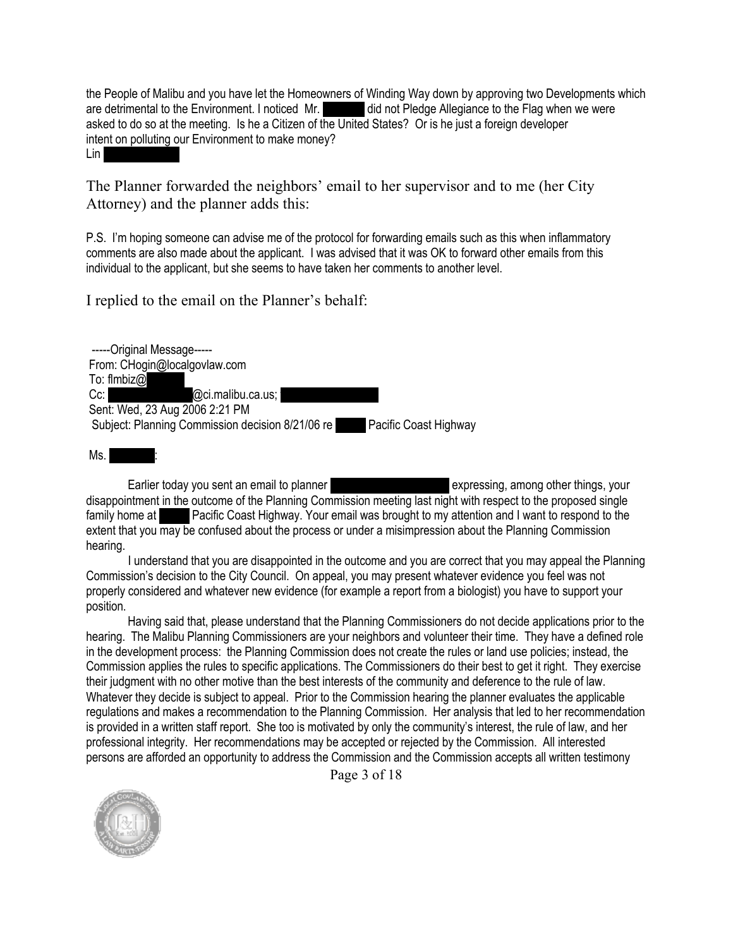the People of Malibu and you have let the Homeowners of Winding Way down by approving two Developments which are detrimental to the Environment. I noticed Mr. did not Pledge Allegiance to the Flag when we were asked to do so at the meeting. Is he a Citizen of the United States? Or is he just a foreign developer intent on polluting our Environment to make money?

Lin

The Planner forwarded the neighbors' email to her supervisor and to me (her City Attorney) and the planner adds this:

P.S. I'm hoping someone can advise me of the protocol for forwarding emails such as this when inflammatory comments are also made about the applicant. I was advised that it was OK to forward other emails from this individual to the applicant, but she seems to have taken her comments to another level.

I replied to the email on the Planner's behalf:

-----Original Message----- From: CHogin@localgovlaw.com To: flmbiz $@$ Cc:  $\oslash$  Coi.malibu.ca.us; Sent: Wed, 23 Aug 2006 2:21 PM Subject: Planning Commission decision 8/21/06 re **2008** Pacific Coast Highway

 $Ms.$ 

Earlier today you sent an email to planner **Rangia Brooks-McClain expressing, among other things**, your disappointment in the outcome of the Planning Commission meeting last night with respect to the proposed single family home at 2792 Pacific Coast Highway. Your email was brought to my attention and I want to respond to the extent that you may be confused about the process or under a misimpression about the Planning Commission hearing.

I understand that you are disappointed in the outcome and you are correct that you may appeal the Planning Commission's decision to the City Council. On appeal, you may present whatever evidence you feel was not properly considered and whatever new evidence (for example a report from a biologist) you have to support your position.

Having said that, please understand that the Planning Commissioners do not decide applications prior to the hearing. The Malibu Planning Commissioners are your neighbors and volunteer their time. They have a defined role in the development process: the Planning Commission does not create the rules or land use policies; instead, the Commission applies the rules to specific applications. The Commissioners do their best to get it right. They exercise their judgment with no other motive than the best interests of the community and deference to the rule of law. Whatever they decide is subject to appeal. Prior to the Commission hearing the planner evaluates the applicable regulations and makes a recommendation to the Planning Commission. Her analysis that led to her recommendation is provided in a written staff report. She too is motivated by only the community's interest, the rule of law, and her professional integrity. Her recommendations may be accepted or rejected by the Commission. All interested persons are afforded an opportunity to address the Commission and the Commission accepts all written testimony

Page 3 of 18

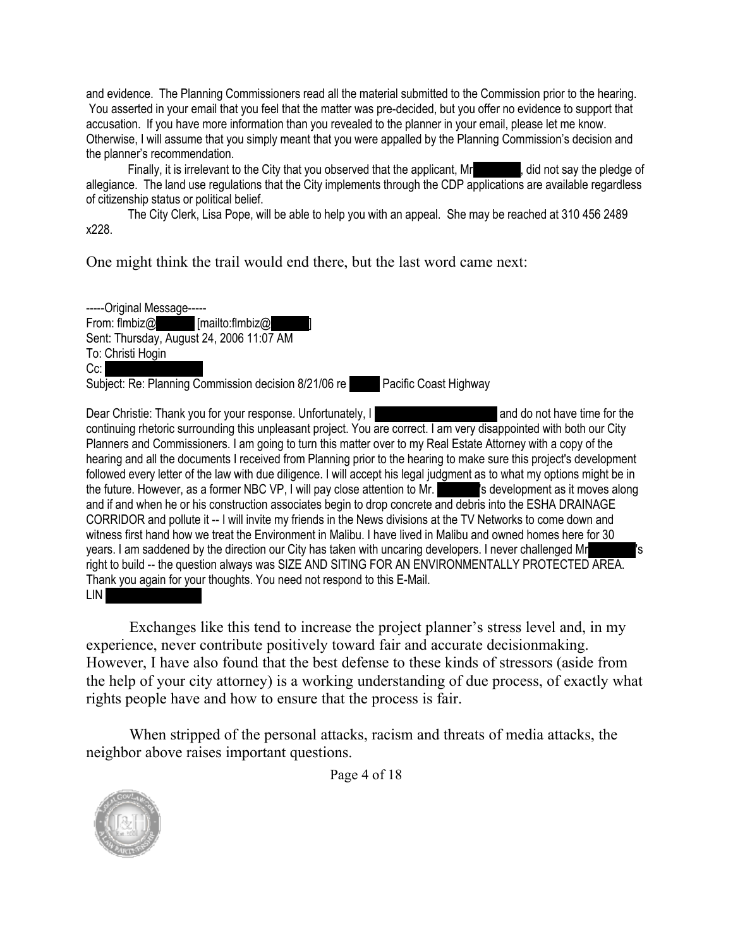and evidence. The Planning Commissioners read all the material submitted to the Commission prior to the hearing. You asserted in your email that you feel that the matter was pre-decided, but you offer no evidence to support that accusation. If you have more information than you revealed to the planner in your email, please let me know. Otherwise, I will assume that you simply meant that you were appalled by the Planning Commission's decision and the planner's recommendation.

Finally, it is irrelevant to the City that you observed that the applicant, Mr. All and say the pledge of allegiance. The land use regulations that the City implements through the CDP applications are available regardless of citizenship status or political belief.

The City Clerk, Lisa Pope, will be able to help you with an appeal. She may be reached at 310 456 2489 x228.

One might think the trail would end there, but the last word came next:

-----Original Message-----<br>From: flmbiz@  $[mailto:flmbiz@]$ Sent: Thursday, August 24, 2006 11:07 AM To: Christi Hogin  $Cc$ : Subject: Re: Planning Commission decision 8/21/06 re Pacific Coast Highway

Dear Christie: Thank you for your response. Unfortunately, I have a very simulate and do not have time for the continuing rhetoric surrounding this unpleasant project. You are correct. I am very disappointed with both our City Planners and Commissioners. I am going to turn this matter over to my Real Estate Attorney with a copy of the hearing and all the documents I received from Planning prior to the hearing to make sure this project's development followed every letter of the law with due diligence. I will accept his legal judgment as to what my options might be in the future. However, as a former NBC VP, I will pay close attention to Mr. Subsetsed as it moves along and if and when he or his construction associates begin to drop concrete and debris into the ESHA DRAINAGE CORRIDOR and pollute it -- I will invite my friends in the News divisions at the TV Networks to come down and witness first hand how we treat the Environment in Malibu. I have lived in Malibu and owned homes here for 30 years. I am saddened by the direction our City has taken with uncaring developers. I never challenged Mr right to build -- the question always was SIZE AND SITING FOR AN ENVIRONMENTALLY PROTECTED AREA. Thank you again for your thoughts. You need not respond to this E-Mail. LIN **B** 

Exchanges like this tend to increase the project planner's stress level and, in my experience, never contribute positively toward fair and accurate decisionmaking. However, I have also found that the best defense to these kinds of stressors (aside from the help of your city attorney) is a working understanding of due process, of exactly what rights people have and how to ensure that the process is fair.

When stripped of the personal attacks, racism and threats of media attacks, the neighbor above raises important questions.

Page 4 of 18

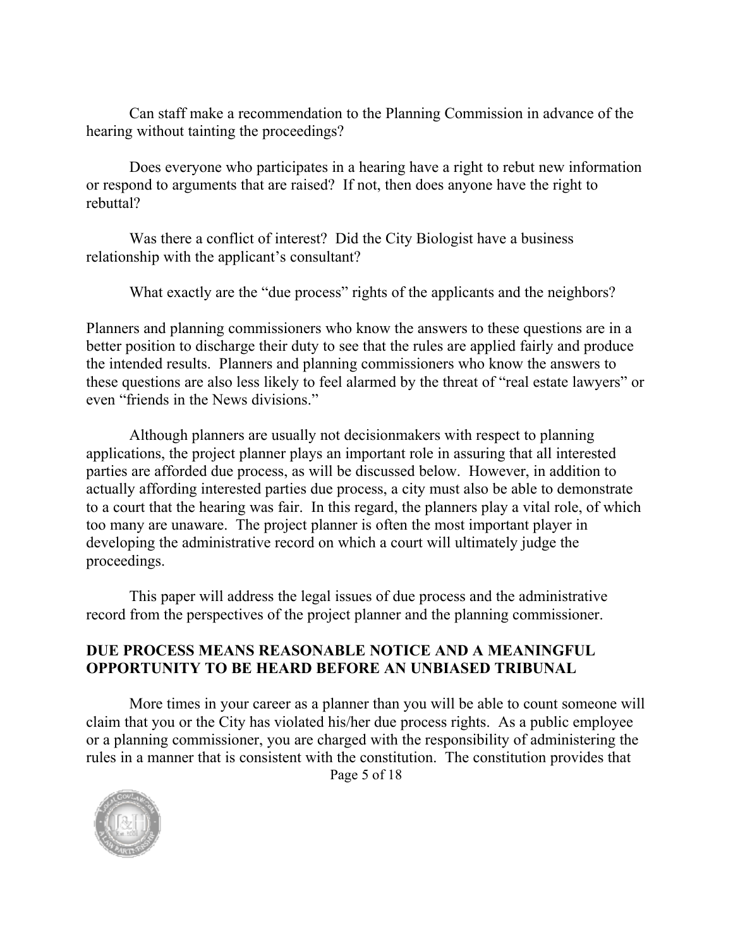Can staff make a recommendation to the Planning Commission in advance of the hearing without tainting the proceedings?

Does everyone who participates in a hearing have a right to rebut new information or respond to arguments that are raised? If not, then does anyone have the right to rebuttal?

Was there a conflict of interest? Did the City Biologist have a business relationship with the applicant's consultant?

What exactly are the "due process" rights of the applicants and the neighbors?

Planners and planning commissioners who know the answers to these questions are in a better position to discharge their duty to see that the rules are applied fairly and produce the intended results. Planners and planning commissioners who know the answers to these questions are also less likely to feel alarmed by the threat of "real estate lawyers" or even "friends in the News divisions."

Although planners are usually not decisionmakers with respect to planning applications, the project planner plays an important role in assuring that all interested parties are afforded due process, as will be discussed below. However, in addition to actually affording interested parties due process, a city must also be able to demonstrate to a court that the hearing was fair. In this regard, the planners play a vital role, of which too many are unaware. The project planner is often the most important player in developing the administrative record on which a court will ultimately judge the proceedings.

This paper will address the legal issues of due process and the administrative record from the perspectives of the project planner and the planning commissioner.

#### <span id="page-5-0"></span>**DUE PROCESS MEANS REASONABLE NOTICE AND A MEANINGFUL OPPORTUNITY TO BE HEARD BEFORE AN UNBIASED TRIBUNAL**

Page 5 of 18 More times in your career as a planner than you will be able to count someone will claim that you or the City has violated his/her due process rights. As a public employee or a planning commissioner, you are charged with the responsibility of administering the rules in a manner that is consistent with the constitution. The constitution provides that

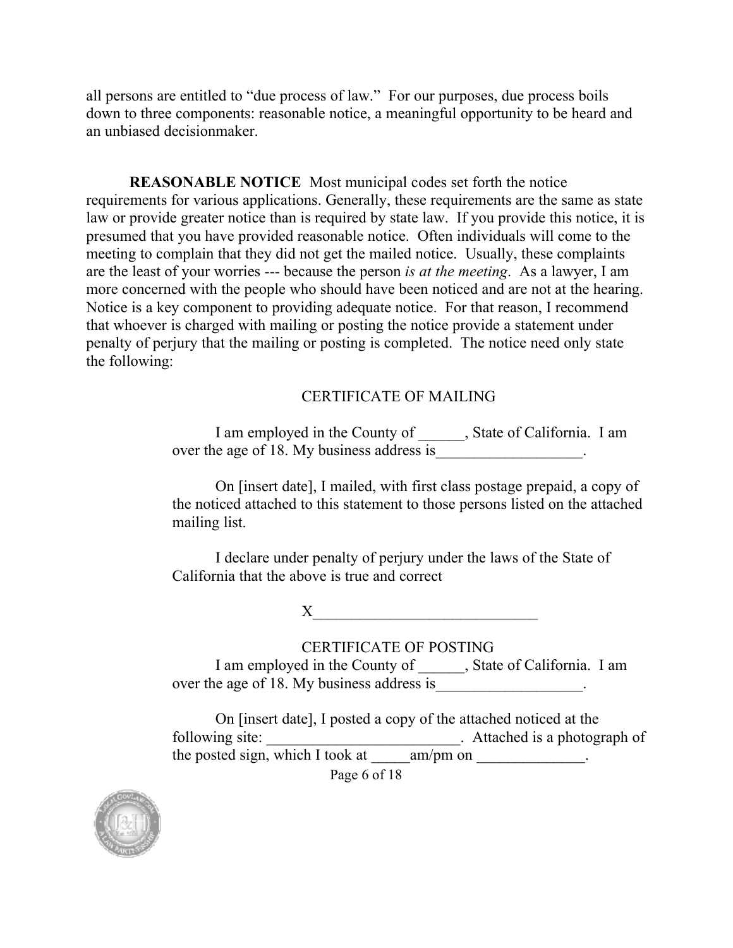all persons are entitled to "due process of law." For our purposes, due process boils down to three components: reasonable notice, a meaningful opportunity to be heard and an unbiased decisionmaker.

<span id="page-6-0"></span>**REASONABLE NOTICE** Most municipal codes set forth the notice requirements for various applications. Generally, these requirements are the same as state law or provide greater notice than is required by state law. If you provide this notice, it is presumed that you have provided reasonable notice. Often individuals will come to the meeting to complain that they did not get the mailed notice. Usually, these complaints are the least of your worries --- because the person *is at the meeting*. As a lawyer, I am more concerned with the people who should have been noticed and are not at the hearing. Notice is a key component to providing adequate notice. For that reason, I recommend that whoever is charged with mailing or posting the notice provide a statement under penalty of perjury that the mailing or posting is completed. The notice need only state the following:

#### CERTIFICATE OF MAILING

I am employed in the County of \_\_\_\_\_\_, State of California. I am over the age of 18. My business address is \_\_\_\_\_\_\_\_\_\_\_\_\_\_.

On [insert date], I mailed, with first class postage prepaid, a copy of the noticed attached to this statement to those persons listed on the attached mailing list.

I declare under penalty of perjury under the laws of the State of California that the above is true and correct

 $X$ 

#### CERTIFICATE OF POSTING

I am employed in the County of \_\_\_\_\_\_, State of California. I am over the age of 18. My business address is\_\_\_\_\_\_\_\_\_\_\_\_\_\_\_\_\_\_.

On [insert date], I posted a copy of the attached noticed at the following site: \_\_\_\_\_\_\_\_\_\_\_\_\_\_\_\_\_\_\_\_\_\_\_\_\_\_\_\_\_\_\_. Attached is a photograph of the posted sign, which I took at \_\_\_\_\_\_am/pm on \_\_\_\_\_\_\_\_\_\_\_\_.

Page 6 of 18

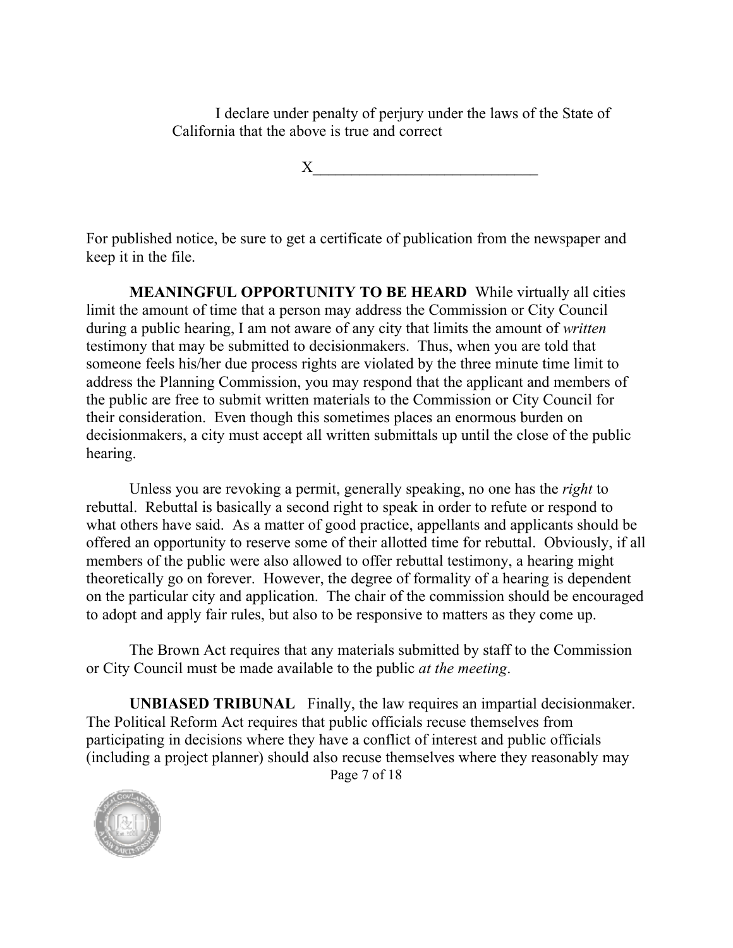I declare under penalty of perjury under the laws of the State of California that the above is true and correct

 $X_\_$ 

For published notice, be sure to get a certificate of publication from the newspaper and keep it in the file.

<span id="page-7-0"></span>**MEANINGFUL OPPORTUNITY TO BE HEARD** While virtually all cities limit the amount of time that a person may address the Commission or City Council during a public hearing, I am not aware of any city that limits the amount of *written* testimony that may be submitted to decisionmakers. Thus, when you are told that someone feels his/her due process rights are violated by the three minute time limit to address the Planning Commission, you may respond that the applicant and members of the public are free to submit written materials to the Commission or City Council for their consideration. Even though this sometimes places an enormous burden on decisionmakers, a city must accept all written submittals up until the close of the public hearing.

Unless you are revoking a permit, generally speaking, no one has the *right* to rebuttal. Rebuttal is basically a second right to speak in order to refute or respond to what others have said. As a matter of good practice, appellants and applicants should be offered an opportunity to reserve some of their allotted time for rebuttal. Obviously, if all members of the public were also allowed to offer rebuttal testimony, a hearing might theoretically go on forever. However, the degree of formality of a hearing is dependent on the particular city and application. The chair of the commission should be encouraged to adopt and apply fair rules, but also to be responsive to matters as they come up.

The Brown Act requires that any materials submitted by staff to the Commission or City Council must be made available to the public *at the meeting*.

Page 7 of 18 **UNBIASED TRIBUNAL** Finally, the law requires an impartial decisionmaker. The Political Reform Act requires that public officials recuse themselves from participating in decisions where they have a conflict of interest and public officials (including a project planner) should also recuse themselves where they reasonably may

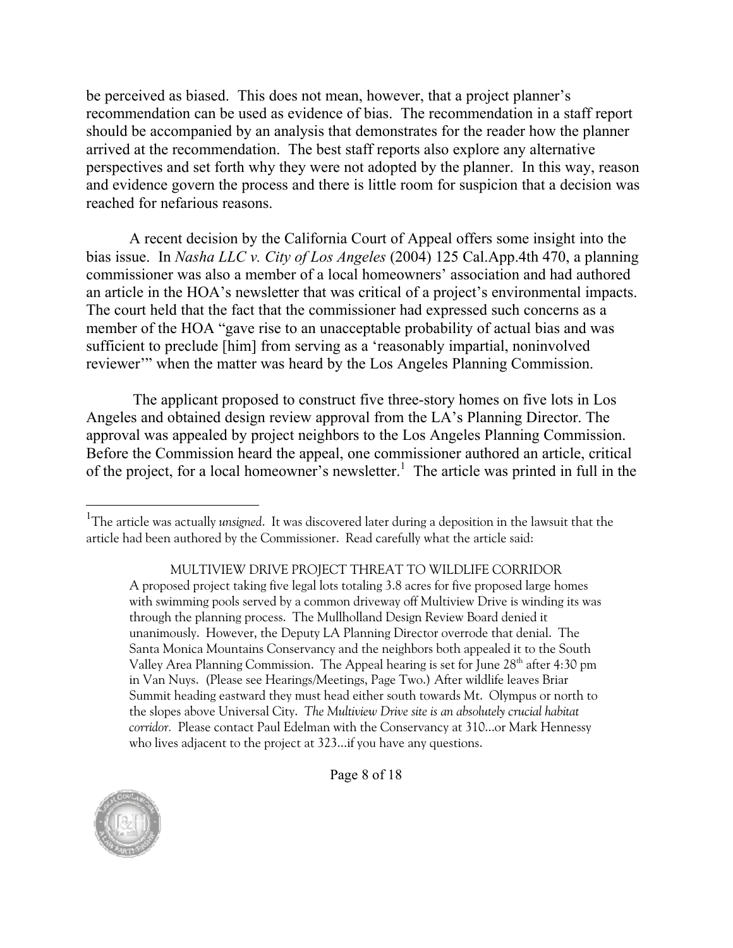be perceived as biased. This does not mean, however, that a project planner's recommendation can be used as evidence of bias. The recommendation in a staff report should be accompanied by an analysis that demonstrates for the reader how the planner arrived at the recommendation. The best staff reports also explore any alternative perspectives and set forth why they were not adopted by the planner. In this way, reason and evidence govern the process and there is little room for suspicion that a decision was reached for nefarious reasons.

A recent decision by the California Court of Appeal offers some insight into the bias issue. In *Nasha LLC v. City of Los Angeles* (2004) 125 Cal.App.4th 470, a planning commissioner was also a member of a local homeowners' association and had authored an article in the HOA's newsletter that was critical of a project's environmental impacts. The court held that the fact that the commissioner had expressed such concerns as a member of the HOA "gave rise to an unacceptable probability of actual bias and was sufficient to preclude [him] from serving as a 'reasonably impartial, noninvolved reviewer'" when the matter was heard by the Los Angeles Planning Commission.

The applicant proposed to construct five three-story homes on five lots in Los Angeles and obtained design review approval from the LA's Planning Director. The approval was appealed by project neighbors to the Los Angeles Planning Commission. Before the Commission heard the appeal, one commissioner authored an article, critical of the project, for a local homeowner's newsletter.<sup>1</sup> The article was printed in full in the

<span id="page-8-0"></span>MULTIVIEW DRIVE PROJECT THREAT TO WILDLIFE CORRIDOR A proposed project taking five legal lots totaling 3.8 acres for five proposed large homes with swimming pools served by a common driveway off Multiview Drive is winding its was through the planning process. The Mullholland Design Review Board denied it unanimously. However, the Deputy LA Planning Director overrode that denial. The Santa Monica Mountains Conservancy and the neighbors both appealed it to the South Valley Area Planning Commission. The Appeal hearing is set for June 28<sup>th</sup> after 4:30 pm in Van Nuys. (Please see Hearings/Meetings, Page Two.) After wildlife leaves Briar Summit heading eastward they must head either south towards Mt. Olympus or north to the slopes above Universal City. *The Multiview Drive site is an absolutely crucial habitat corridor.* Please contact Paul Edelman with the Conservancy at 310...or Mark Hennessy who lives adjacent to the project at 323...if you have any questions.



Page 8 of 18

<sup>&</sup>lt;sup>1</sup>The article was actually *unsigned*. It was discovered later during a deposition in the lawsuit that the article had been authored by the Commissioner. Read carefully what the article said: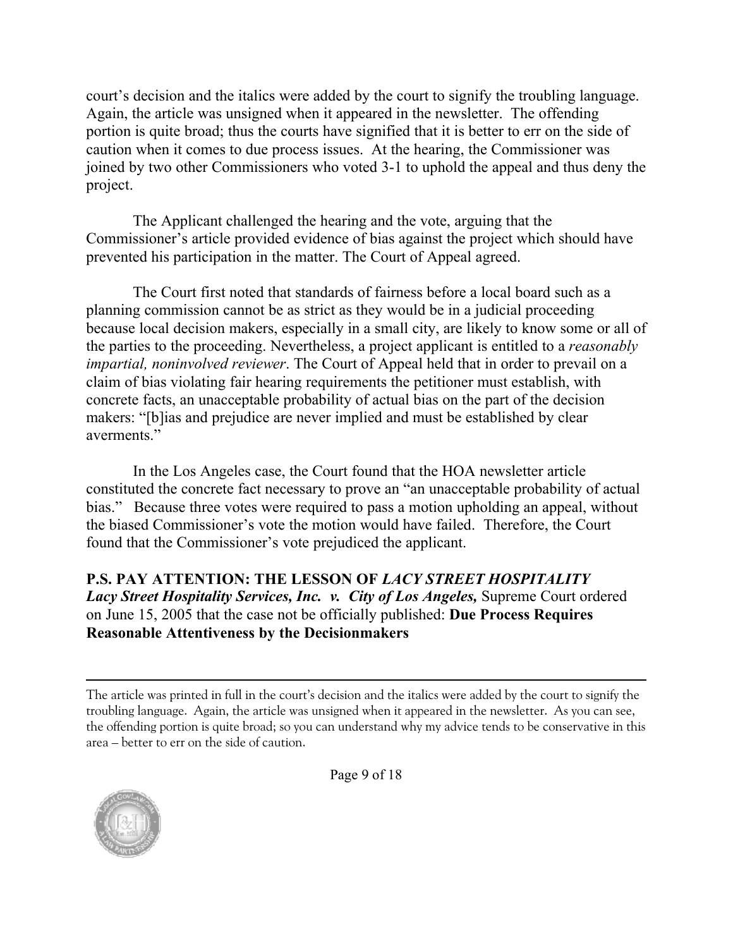court's decision and the italics were added by the court to signify the troubling language. Again, the article was unsigned when it appeared in the newsletter. The offending portion is quite broad; thus the courts have signified that it is better to err on the side of caution when it comes to due process issues. At the hearing, the Commissioner was joined by two other Commissioners who voted 3-1 to uphold the appeal and thus deny the project.

The Applicant challenged the hearing and the vote, arguing that the Commissioner's article provided evidence of bias against the project which should have prevented his participation in the matter. The Court of Appeal agreed.

The Court first noted that standards of fairness before a local board such as a planning commission cannot be as strict as they would be in a judicial proceeding because local decision makers, especially in a small city, are likely to know some or all of the parties to the proceeding. Nevertheless, a project applicant is entitled to a *reasonably impartial, noninvolved reviewer*. The Court of Appeal held that in order to prevail on a claim of bias violating fair hearing requirements the petitioner must establish, with concrete facts, an unacceptable probability of actual bias on the part of the decision makers: "[b]ias and prejudice are never implied and must be established by clear averments."

In the Los Angeles case, the Court found that the HOA newsletter article constituted the concrete fact necessary to prove an "an unacceptable probability of actual bias." Because three votes were required to pass a motion upholding an appeal, without the biased Commissioner's vote the motion would have failed. Therefore, the Court found that the Commissioner's vote prejudiced the applicant.

<span id="page-9-0"></span>**P.S. PAY ATTENTION: THE LESSON OF** *LACY STREET HOSPITALITY Lacy Street Hospitality Services, Inc. v. City of Los Angeles, Supreme Court ordered* on June 15, 2005 that the case not be officially published: **Due Process Requires Reasonable Attentiveness by the Decisionmakers** 

The article was printed in full in the court's decision and the italics were added by the court to signify the troubling language. Again, the article was unsigned when it appeared in the newsletter. As you can see, the offending portion is quite broad; so you can understand why my advice tends to be conservative in this area – better to err on the side of caution.



Page 9 of 18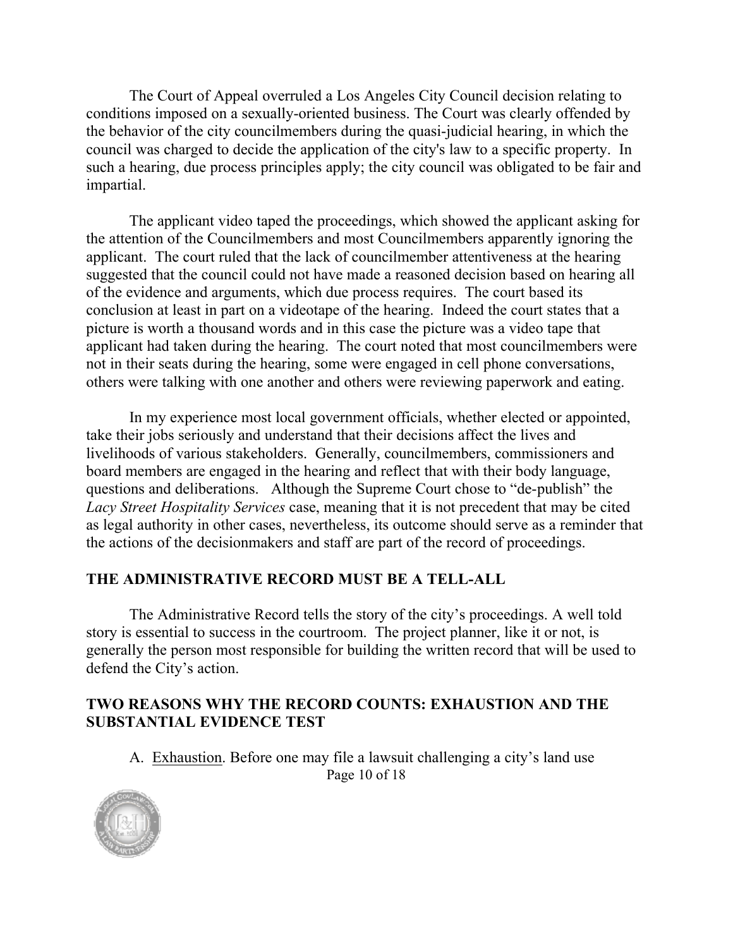The Court of Appeal overruled a Los Angeles City Council decision relating to conditions imposed on a sexually-oriented business. The Court was clearly offended by the behavior of the city councilmembers during the quasi-judicial hearing, in which the council was charged to decide the application of the city's law to a specific property. In such a hearing, due process principles apply; the city council was obligated to be fair and impartial.

The applicant video taped the proceedings, which showed the applicant asking for the attention of the Councilmembers and most Councilmembers apparently ignoring the applicant. The court ruled that the lack of councilmember attentiveness at the hearing suggested that the council could not have made a reasoned decision based on hearing all of the evidence and arguments, which due process requires. The court based its conclusion at least in part on a videotape of the hearing. Indeed the court states that a picture is worth a thousand words and in this case the picture was a video tape that applicant had taken during the hearing. The court noted that most councilmembers were not in their seats during the hearing, some were engaged in cell phone conversations, others were talking with one another and others were reviewing paperwork and eating.

In my experience most local government officials, whether elected or appointed, take their jobs seriously and understand that their decisions affect the lives and livelihoods of various stakeholders. Generally, councilmembers, commissioners and board members are engaged in the hearing and reflect that with their body language, questions and deliberations. Although the Supreme Court chose to "de-publish" the *Lacy Street Hospitality Services* case, meaning that it is not precedent that may be cited as legal authority in other cases, nevertheless, its outcome should serve as a reminder that the actions of the decisionmakers and staff are part of the record of proceedings.

#### <span id="page-10-0"></span>**THE ADMINISTRATIVE RECORD MUST BE A TELL-ALL**

The Administrative Record tells the story of the city's proceedings. A well told story is essential to success in the courtroom. The project planner, like it or not, is generally the person most responsible for building the written record that will be used to defend the City's action.

#### <span id="page-10-1"></span>**TWO REASONS WHY THE RECORD COUNTS: EXHAUSTION AND THE SUBSTANTIAL EVIDENCE TEST**

Page 10 of 18 A. Exhaustion. Before one may file a lawsuit challenging a city's land use

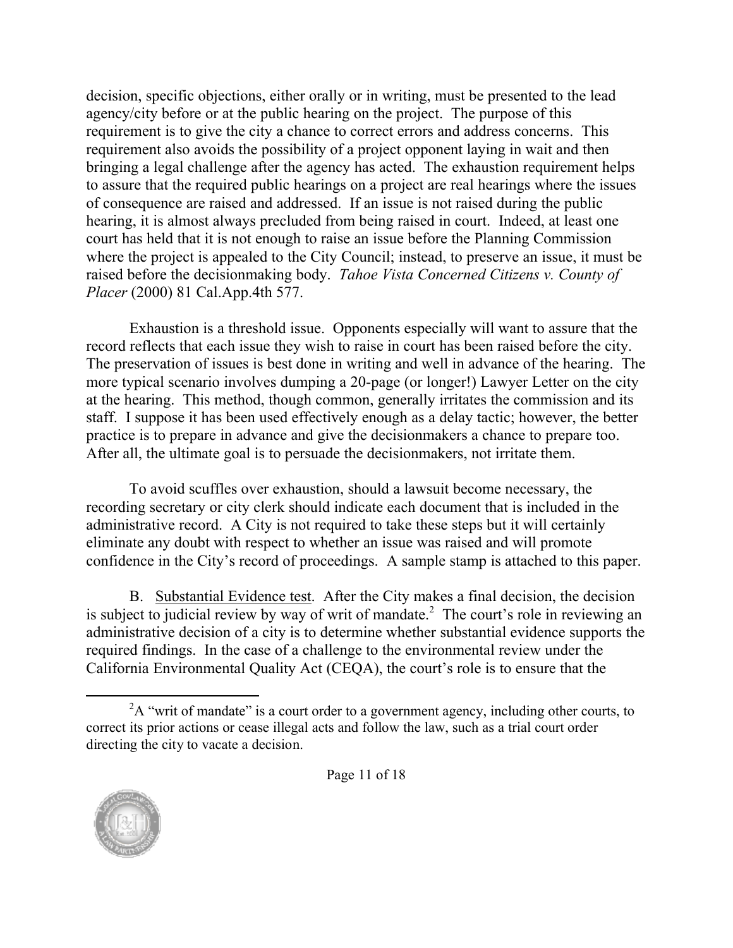decision, specific objections, either orally or in writing, must be presented to the lead agency/city before or at the public hearing on the project. The purpose of this requirement is to give the city a chance to correct errors and address concerns. This requirement also avoids the possibility of a project opponent laying in wait and then bringing a legal challenge after the agency has acted. The exhaustion requirement helps to assure that the required public hearings on a project are real hearings where the issues of consequence are raised and addressed. If an issue is not raised during the public hearing, it is almost always precluded from being raised in court. Indeed, at least one court has held that it is not enough to raise an issue before the Planning Commission where the project is appealed to the City Council; instead, to preserve an issue, it must be raised before the decisionmaking body. *Tahoe Vista Concerned Citizens v. County of Placer* (2000) 81 Cal.App.4th 577.

Exhaustion is a threshold issue. Opponents especially will want to assure that the record reflects that each issue they wish to raise in court has been raised before the city. The preservation of issues is best done in writing and well in advance of the hearing. The more typical scenario involves dumping a 20-page (or longer!) Lawyer Letter on the city at the hearing. This method, though common, generally irritates the commission and its staff. I suppose it has been used effectively enough as a delay tactic; however, the better practice is to prepare in advance and give the decisionmakers a chance to prepare too. After all, the ultimate goal is to persuade the decisionmakers, not irritate them.

To avoid scuffles over exhaustion, should a lawsuit become necessary, the recording secretary or city clerk should indicate each document that is included in the administrative record. A City is not required to take these steps but it will certainly eliminate any doubt with respect to whether an issue was raised and will promote confidence in the City's record of proceedings. A sample stamp is attached to this paper.

B. Substantial Evidence test. After the City makes a final decision, the decision is subject to judicial review by way of writ of mandate.<sup>2</sup> The court's role in reviewing an administrative decision of a city is to determine whether substantial evidence supports the required findings. In the case of a challenge to the environmental review under the California Environmental Quality Act (CEQA), the court's role is to ensure that the

 ${}^{2}A$  "writ of mandate" is a court order to a government agency, including other courts, to correct its prior actions or cease illegal acts and follow the law, such as a trial court order directing the city to vacate a decision.

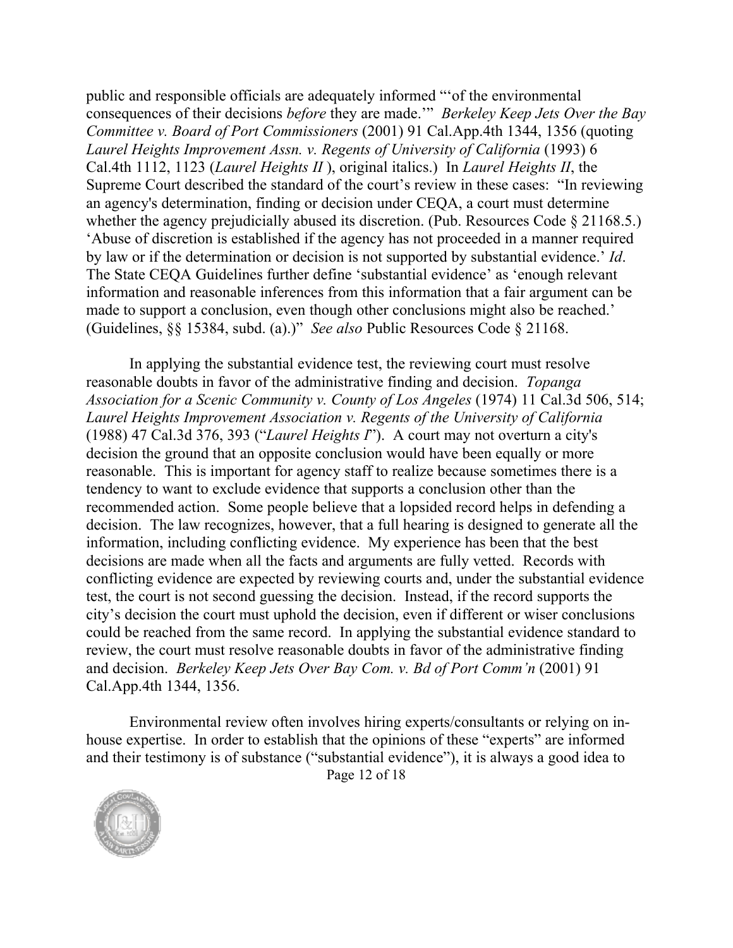public and responsible officials are adequately informed "'of the environmental consequences of their decisions *before* they are made.'" *Berkeley Keep Jets Over the Bay Committee v. Board of Port Commissioners* (2001) 91 Cal.App.4th 1344, 1356 (quoting *Laurel Heights Improvement Assn. v. Regents of University of California* (1993) 6 Cal.4th 1112, 1123 (*Laurel Heights II* ), original italics.) In *Laurel Heights II*, the Supreme Court described the standard of the court's review in these cases: "In reviewing an agency's determination, finding or decision under CEQA, a court must determine whether the agency prejudicially abused its discretion. (Pub. Resources Code § 21168.5.) 'Abuse of discretion is established if the agency has not proceeded in a manner required by law or if the determination or decision is not supported by substantial evidence.' *Id*. The State CEQA Guidelines further define 'substantial evidence' as 'enough relevant information and reasonable inferences from this information that a fair argument can be made to support a conclusion, even though other conclusions might also be reached.' (Guidelines, §§ 15384, subd. (a).)" *See also* Public Resources Code § 21168.

In applying the substantial evidence test, the reviewing court must resolve reasonable doubts in favor of the administrative finding and decision. *Topanga Association for a Scenic Community v. County of Los Angeles* (1974) 11 Cal.3d 506, 514; *Laurel Heights Improvement Association v. Regents of the University of California* (1988) 47 Cal.3d 376, 393 ("*Laurel Heights I*"). A court may not overturn a city's decision the ground that an opposite conclusion would have been equally or more reasonable. This is important for agency staff to realize because sometimes there is a tendency to want to exclude evidence that supports a conclusion other than the recommended action. Some people believe that a lopsided record helps in defending a decision. The law recognizes, however, that a full hearing is designed to generate all the information, including conflicting evidence. My experience has been that the best decisions are made when all the facts and arguments are fully vetted. Records with conflicting evidence are expected by reviewing courts and, under the substantial evidence test, the court is not second guessing the decision. Instead, if the record supports the city's decision the court must uphold the decision, even if different or wiser conclusions could be reached from the same record. In applying the substantial evidence standard to review, the court must resolve reasonable doubts in favor of the administrative finding and decision. *Berkeley Keep Jets Over Bay Com. v. Bd of Port Comm'n* (2001) 91 Cal.App.4th 1344, 1356.

<span id="page-12-0"></span>Page 12 of 18 Environmental review often involves hiring experts/consultants or relying on inhouse expertise. In order to establish that the opinions of these "experts" are informed and their testimony is of substance ("substantial evidence"), it is always a good idea to

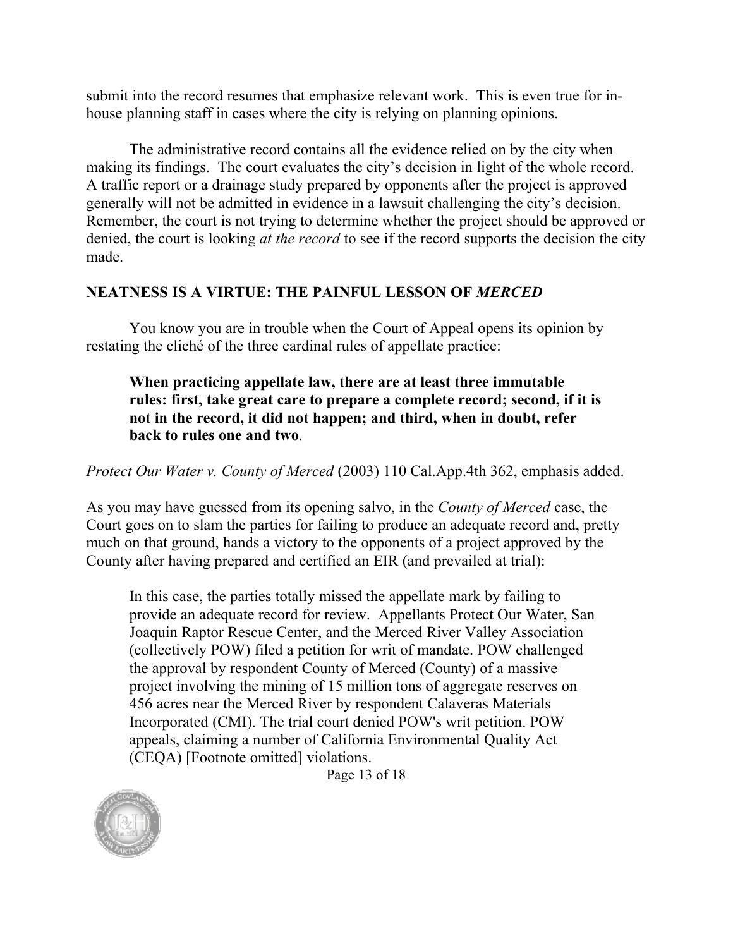submit into the record resumes that emphasize relevant work. This is even true for inhouse planning staff in cases where the city is relying on planning opinions.

The administrative record contains all the evidence relied on by the city when making its findings. The court evaluates the city's decision in light of the whole record. A traffic report or a drainage study prepared by opponents after the project is approved generally will not be admitted in evidence in a lawsuit challenging the city's decision. Remember, the court is not trying to determine whether the project should be approved or denied, the court is looking *at the record* to see if the record supports the decision the city made.

### <span id="page-13-0"></span>**NEATNESS IS A VIRTUE: THE PAINFUL LESSON OF** *MERCED*

You know you are in trouble when the Court of Appeal opens its opinion by restating the cliché of the three cardinal rules of appellate practice:

**When practicing appellate law, there are at least three immutable rules: first, take great care to prepare a complete record; second, if it is not in the record, it did not happen; and third, when in doubt, refer back to rules one and two**.

*Protect Our Water v. County of Merced* (2003) 110 Cal.App.4th 362, emphasis added.

As you may have guessed from its opening salvo, in the *County of Merced* case, the Court goes on to slam the parties for failing to produce an adequate record and, pretty much on that ground, hands a victory to the opponents of a project approved by the County after having prepared and certified an EIR (and prevailed at trial):

In this case, the parties totally missed the appellate mark by failing to provide an adequate record for review. Appellants Protect Our Water, San Joaquin Raptor Rescue Center, and the Merced River Valley Association (collectively POW) filed a petition for writ of mandate. POW challenged the approval by respondent County of Merced (County) of a massive project involving the mining of 15 million tons of aggregate reserves on 456 acres near the Merced River by respondent Calaveras Materials Incorporated (CMI). The trial court denied POW's writ petition. POW appeals, claiming a number of California Environmental Quality Act (CEQA) [Footnote omitted] violations.

Page 13 of 18

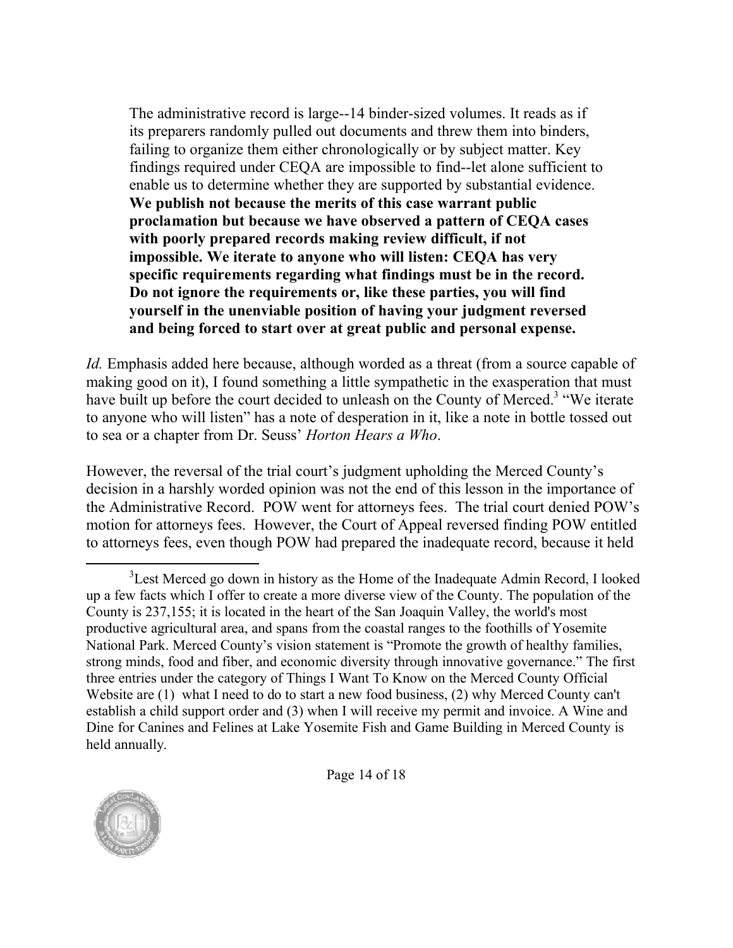The administrative record is large--14 binder-sized volumes. It reads as if its preparers randomly pulled out documents and threw them into binders, failing to organize them either chronologically or by subject matter. Key findings required under CEQA are impossible to find--let alone sufficient to enable us to determine whether they are supported by substantial evidence. **We publish not because the merits of this case warrant public proclamation but because we have observed a pattern of CEQA cases with poorly prepared records making review difficult, if not impossible. We iterate to anyone who will listen: CEQA has very specific requirements regarding what findings must be in the record. Do not ignore the requirements or, like these parties, you will find yourself in the unenviable position of having your judgment reversed and being forced to start over at great public and personal expense.**

*Id.* Emphasis added here because, although worded as a threat (from a source capable of making good on it), I found something a little sympathetic in the exasperation that must have built up before the court decided to unleash on the County of Merced.<sup>3</sup> "We iterate to anyone who will listen" has a note of desperation in it, like a note in bottle tossed out to sea or a chapter from Dr. Seuss' *Horton Hears a Who*.

However, the reversal of the trial court's judgment upholding the Merced County's decision in a harshly worded opinion was not the end of this lesson in the importance of the Administrative Record. POW went for attorneys fees. The trial court denied POW's motion for attorneys fees. However, the Court of Appeal reversed finding POW entitled to attorneys fees, even though POW had prepared the inadequate record, because it held

<sup>&</sup>lt;sup>3</sup> Lest Merced go down in history as the Home of the Inadequate Admin Record, I looked up a few facts which I offer to create a more diverse view of the County. The population of the County is 237,155; it is located in the heart of the San Joaquin Valley, the world's most productive agricultural area, and spans from the coastal ranges to the foothills of Yosemite National Park. Merced County's vision statement is "Promote the growth of healthy families, strong minds, food and fiber, and economic diversity through innovative governance." The first three entries under the category of Things I Want To Know on the Merced County Official Website are (1) what I need to do to start a new food business, (2) why Merced County can't establish a child support order and (3) when I will receive my permit and invoice. A Wine and Dine for Canines and Felines at Lake Yosemite Fish and Game Building in Merced County is held annually.

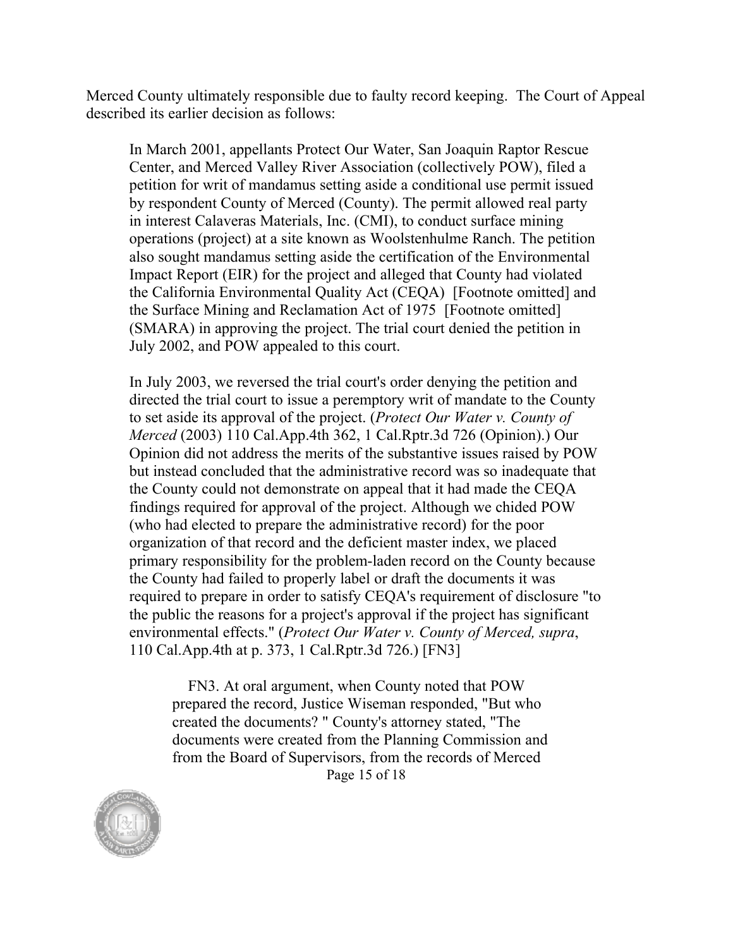Merced County ultimately responsible due to faulty record keeping. The Court of Appeal described its earlier decision as follows:

In March 2001, appellants Protect Our Water, San Joaquin Raptor Rescue Center, and Merced Valley River Association (collectively POW), filed a petition for writ of mandamus setting aside a conditional use permit issued by respondent County of Merced (County). The permit allowed real party in interest Calaveras Materials, Inc. (CMI), to conduct surface mining operations (project) at a site known as Woolstenhulme Ranch. The petition also sought mandamus setting aside the certification of the Environmental Impact Report (EIR) for the project and alleged that County had violated the California Environmental Quality Act (CEQA) [Footnote omitted] and the Surface Mining and Reclamation Act of 1975 [Footnote omitted] (SMARA) in approving the project. The trial court denied the petition in July 2002, and POW appealed to this court.

In July 2003, we reversed the trial court's order denying the petition and directed the trial court to issue a peremptory writ of mandate to the County to set aside its approval of the project. (*Protect Our Water v. County of Merced* (2003) 110 Cal.App.4th 362, 1 Cal.Rptr.3d 726 (Opinion).) Our Opinion did not address the merits of the substantive issues raised by POW but instead concluded that the administrative record was so inadequate that the County could not demonstrate on appeal that it had made the CEQA findings required for approval of the project. Although we chided POW (who had elected to prepare the administrative record) for the poor organization of that record and the deficient master index, we placed primary responsibility for the problem-laden record on the County because the County had failed to properly label or draft the documents it was required to prepare in order to satisfy CEQA's requirement of disclosure "to the public the reasons for a project's approval if the project has significant environmental effects." (*Protect Our Water v. County of Merced, supra*, 110 Cal.App.4th at p. 373, 1 Cal.Rptr.3d 726.) [FN3]

Page 15 of 18 FN3. At oral argument, when County noted that POW prepared the record, Justice Wiseman responded, "But who created the documents? " County's attorney stated, "The documents were created from the Planning Commission and from the Board of Supervisors, from the records of Merced

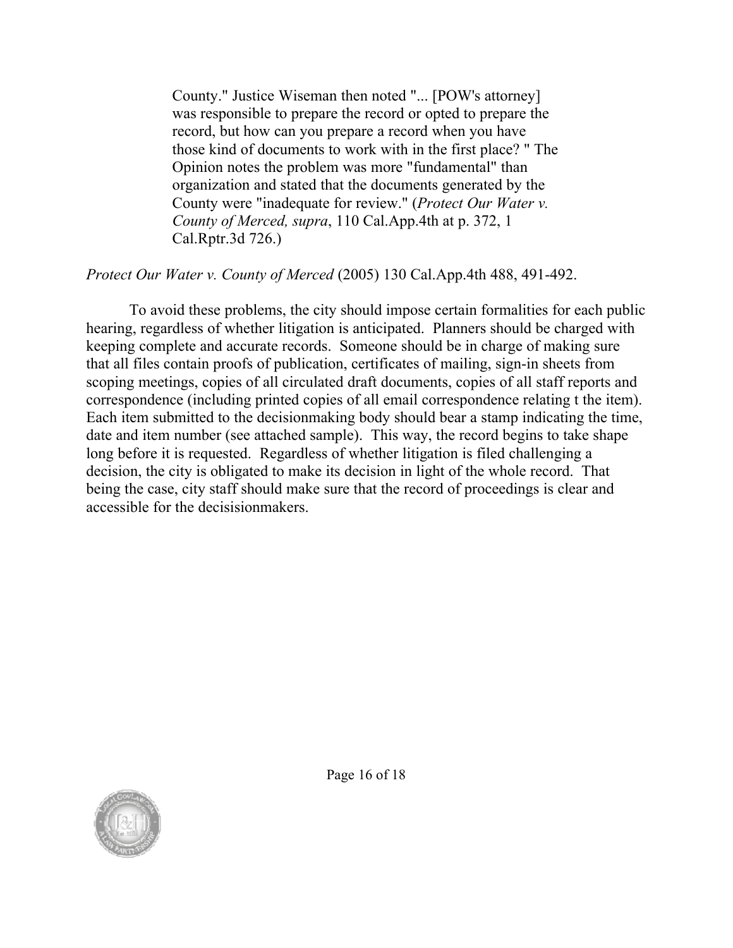County." Justice Wiseman then noted "... [POW's attorney] was responsible to prepare the record or opted to prepare the record, but how can you prepare a record when you have those kind of documents to work with in the first place? " The Opinion notes the problem was more "fundamental" than organization and stated that the documents generated by the County were "inadequate for review." (*Protect Our Water v. County of Merced, supra*, 110 Cal.App.4th at p. 372, 1 Cal.Rptr.3d 726.)

#### *Protect Our Water v. County of Merced* (2005) 130 Cal.App.4th 488, 491-492.

To avoid these problems, the city should impose certain formalities for each public hearing, regardless of whether litigation is anticipated. Planners should be charged with keeping complete and accurate records. Someone should be in charge of making sure that all files contain proofs of publication, certificates of mailing, sign-in sheets from scoping meetings, copies of all circulated draft documents, copies of all staff reports and correspondence (including printed copies of all email correspondence relating t the item). Each item submitted to the decisionmaking body should bear a stamp indicating the time, date and item number (see attached sample). This way, the record begins to take shape long before it is requested. Regardless of whether litigation is filed challenging a decision, the city is obligated to make its decision in light of the whole record. That being the case, city staff should make sure that the record of proceedings is clear and accessible for the decisisionmakers.



Page 16 of 18